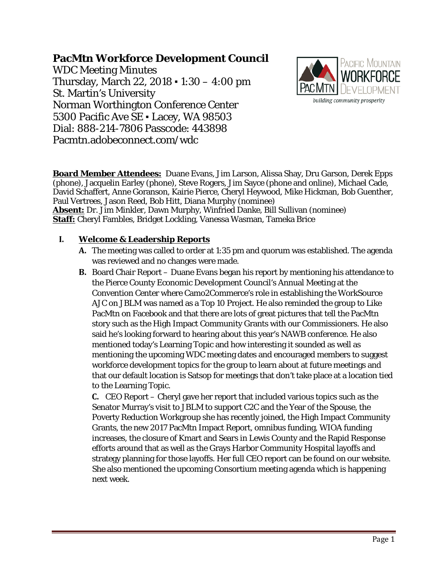# **PacMtn Workforce Development Council**

WDC Meeting Minutes Thursday, March 22, 2018 ▪ 1:30 – 4:00 pm St. Martin's University Norman Worthington Conference Center 5300 Pacific Ave SE . Lacey, WA 98503 Dial: 888-214-7806 Passcode: 443898 Pacmtn.adobeconnect.com/wdc



**Board Member Attendees:** Duane Evans, Jim Larson, Alissa Shay, Dru Garson, Derek Epps (phone), Jacquelin Earley (phone), Steve Rogers, Jim Sayce (phone and online), Michael Cade, David Schaffert, Anne Goranson, Kairie Pierce, Cheryl Heywood, Mike Hickman, Bob Guenther, Paul Vertrees, Jason Reed, Bob Hitt, Diana Murphy (nominee) **Absent:** Dr. Jim Minkler, Dawn Murphy, Winfried Danke, Bill Sullivan (nominee) **Staff:** Cheryl Fambles, Bridget Lockling, Vanessa Wasman, Tameka Brice

## **I. Welcome & Leadership Reports**

- **A.** The meeting was called to order at 1:35 pm and quorum was established. The agenda was reviewed and no changes were made.
- **B.** Board Chair Report Duane Evans began his report by mentioning his attendance to the Pierce County Economic Development Council's Annual Meeting at the Convention Center where Camo2Commerce's role in establishing the WorkSource AJC on JBLM was named as a Top 10 Project. He also reminded the group to Like PacMtn on Facebook and that there are lots of great pictures that tell the PacMtn story such as the High Impact Community Grants with our Commissioners. He also said he's looking forward to hearing about this year's NAWB conference. He also mentioned today's Learning Topic and how interesting it sounded as well as mentioning the upcoming WDC meeting dates and encouraged members to suggest workforce development topics for the group to learn about at future meetings and that our default location is Satsop for meetings that don't take place at a location tied to the Learning Topic.

**C.** CEO Report – Cheryl gave her report that included various topics such as the Senator Murray's visit to JBLM to support C2C and the Year of the Spouse, the Poverty Reduction Workgroup she has recently joined, the High Impact Community Grants, the new 2017 PacMtn Impact Report, omnibus funding, WIOA funding increases, the closure of Kmart and Sears in Lewis County and the Rapid Response efforts around that as well as the Grays Harbor Community Hospital layoffs and strategy planning for those layoffs. Her full CEO report can be found on our [website.](http://www.pacmtn.org/wp-content/uploads/CEO-Report-November-2017-Final-2.pdf) She also mentioned the upcoming Consortium meeting agenda which is happening next week.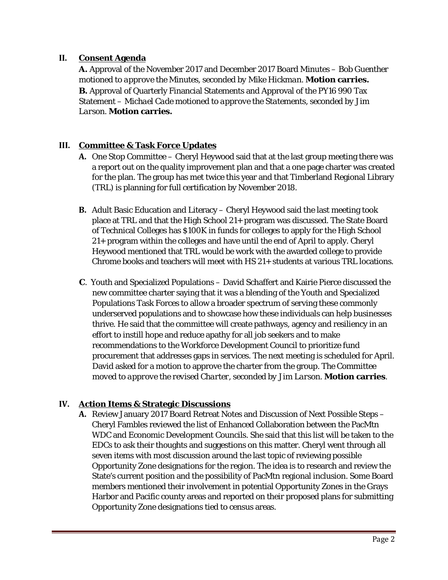## **II. Consent Agenda**

**A.** Approval of the November 2017 and December 2017 Board Minutes – *Bob Guenther motioned to approve the Minutes, seconded by Mike Hickman.* **Motion carries. B.** Approval of Quarterly Financial Statements and Approval of the PY16 990 Tax Statement – *Michael Cade motioned to approve the Statements, seconded by Jim Larson.* **Motion carries.**

## **III. Committee & Task Force Updates**

- **A.** One Stop Committee Cheryl Heywood said that at the last group meeting there was a report out on the quality improvement plan and that a one page charter was created for the plan. The group has met twice this year and that Timberland Regional Library (TRL) is planning for full certification by November 2018.
- **B.** Adult Basic Education and Literacy Cheryl Heywood said the last meeting took place at TRL and that the High School 21+ program was discussed. The State Board of Technical Colleges has \$100K in funds for colleges to apply for the High School 21+ program within the colleges and have until the end of April to apply. Cheryl Heywood mentioned that TRL would be work with the awarded college to provide Chrome books and teachers will meet with HS 21+ students at various TRL locations.
- **C**. Youth and Specialized Populations David Schaffert and Kairie Pierce discussed the new committee charter saying that it was a blending of the Youth and Specialized Populations Task Forces to allow a broader spectrum of serving these commonly underserved populations and to showcase how these individuals can help businesses thrive. He said that the committee will create pathways, agency and resiliency in an effort to instill hope and reduce apathy for all job seekers and to make recommendations to the Workforce Development Council to prioritize fund procurement that addresses gaps in services. The next meeting is scheduled for April. David asked for a motion to approve the charter from the group. *The Committee moved to approve the revised Charter, seconded by Jim Larson.* **Motion carries**.

## **IV. Action Items & Strategic Discussions**

**A.** Review January 2017 Board Retreat Notes and Discussion of Next Possible Steps – Cheryl Fambles reviewed the list of Enhanced Collaboration between the PacMtn WDC and Economic Development Councils. She said that this list will be taken to the EDCs to ask their thoughts and suggestions on this matter. Cheryl went through all seven items with most discussion around the last topic of reviewing possible Opportunity Zone designations for the region. The idea is to research and review the State's current position and the possibility of PacMtn regional inclusion. Some Board members mentioned their involvement in potential Opportunity Zones in the Grays Harbor and Pacific county areas and reported on their proposed plans for submitting Opportunity Zone designations tied to census areas.